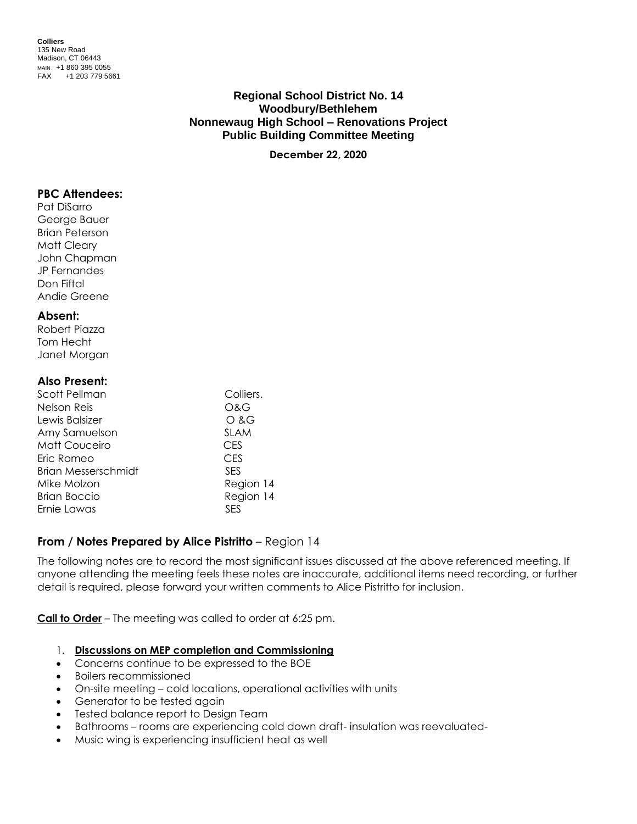**Colliers** 135 New Road Madison, CT 06443 MAIN +1 860 395 0055 FAX +1 203 779 5661

# **Regional School District No. 14 Woodbury/Bethlehem Nonnewaug High School – Renovations Project Public Building Committee Meeting**

**December 22, 2020**

## **PBC Attendees:**

Pat DiSarro George Bauer Brian Peterson Matt Cleary John Chapman JP Fernandes Don Fiftal Andie Greene

## **Absent:**

Robert Piazza Tom Hecht Janet Morgan

## **Also Present:**

| Colliers.   |
|-------------|
| O&G         |
| O & G       |
| <b>SLAM</b> |
| CES         |
| <b>CES</b>  |
| <b>SES</b>  |
| Region 14   |
| Region 14   |
| SES         |
|             |

# **From / Notes Prepared by Alice Pistritto** – Region 14

The following notes are to record the most significant issues discussed at the above referenced meeting. If anyone attending the meeting feels these notes are inaccurate, additional items need recording, or further detail is required, please forward your written comments to Alice Pistritto for inclusion.

**Call to Order** – The meeting was called to order at 6:25 pm.

## 1. **Discussions on MEP completion and Commissioning**

- Concerns continue to be expressed to the BOE
- Boilers recommissioned
- On-site meeting cold locations, operational activities with units
- Generator to be tested again
- Tested balance report to Design Team
- Bathrooms rooms are experiencing cold down draft- insulation was reevaluated-
- Music wing is experiencing insufficient heat as well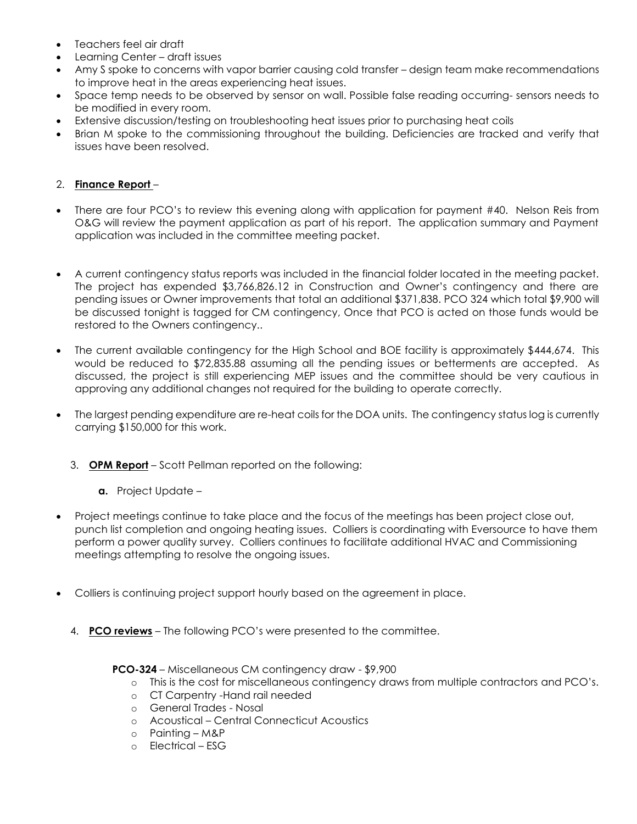- Teachers feel air draft
- Learning Center draft issues
- Amy S spoke to concerns with vapor barrier causing cold transfer design team make recommendations to improve heat in the areas experiencing heat issues.
- Space temp needs to be observed by sensor on wall. Possible false reading occurring- sensors needs to be modified in every room.
- Extensive discussion/testing on troubleshooting heat issues prior to purchasing heat coils
- Brian M spoke to the commissioning throughout the building. Deficiencies are tracked and verify that issues have been resolved.

# 2. **Finance Report** –

- There are four PCO's to review this evening along with application for payment #40. Nelson Reis from O&G will review the payment application as part of his report. The application summary and Payment application was included in the committee meeting packet.
- A current contingency status reports was included in the financial folder located in the meeting packet. The project has expended \$3,766,826.12 in Construction and Owner's contingency and there are pending issues or Owner improvements that total an additional \$371,838. PCO 324 which total \$9,900 will be discussed tonight is tagged for CM contingency, Once that PCO is acted on those funds would be restored to the Owners contingency..
- The current available contingency for the High School and BOE facility is approximately \$444,674. This would be reduced to \$72,835.88 assuming all the pending issues or betterments are accepted. As discussed, the project is still experiencing MEP issues and the committee should be very cautious in approving any additional changes not required for the building to operate correctly.
- The largest pending expenditure are re-heat coils for the DOA units. The contingency status log is currently carrying \$150,000 for this work.
	- 3. **OPM Report** Scott Pellman reported on the following:
		- **a.** Project Update –
- Project meetings continue to take place and the focus of the meetings has been project close out, punch list completion and ongoing heating issues. Colliers is coordinating with Eversource to have them perform a power quality survey. Colliers continues to facilitate additional HVAC and Commissioning meetings attempting to resolve the ongoing issues.
- Colliers is continuing project support hourly based on the agreement in place.
	- 4. **PCO reviews** The following PCO's were presented to the committee.

**PCO-324** – Miscellaneous CM contingency draw - \$9,900

- o This is the cost for miscellaneous contingency draws from multiple contractors and PCO's.
- o CT Carpentry -Hand rail needed
- o General Trades Nosal
- o Acoustical Central Connecticut Acoustics
- o Painting M&P
- o Electrical ESG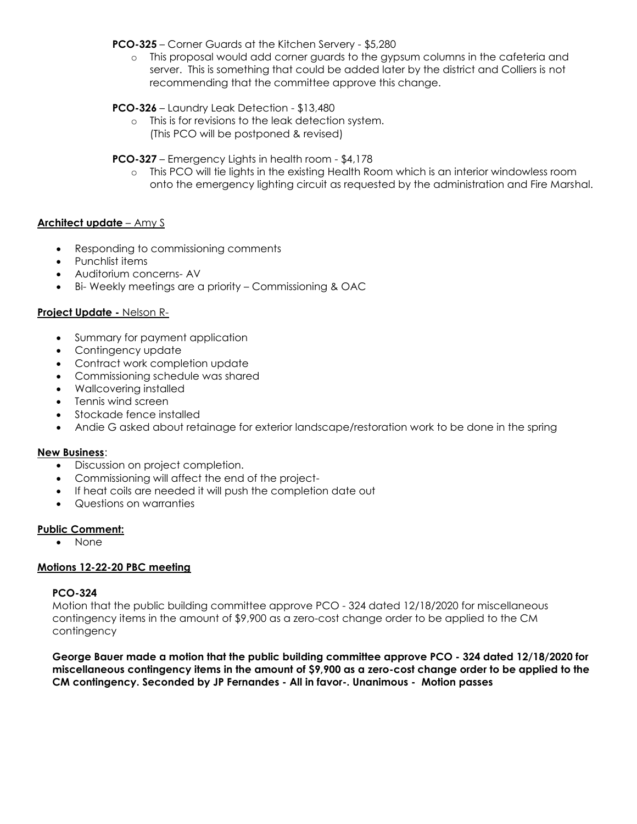**PCO-325** – Corner Guards at the Kitchen Servery - \$5,280

o This proposal would add corner guards to the gypsum columns in the cafeteria and server. This is something that could be added later by the district and Colliers is not recommending that the committee approve this change.

## **PCO-326** – Laundry Leak Detection - \$13,480

o This is for revisions to the leak detection system. (This PCO will be postponed & revised)

## **PCO-327** – Emergency Lights in health room - \$4,178

o This PCO will tie lights in the existing Health Room which is an interior windowless room onto the emergency lighting circuit as requested by the administration and Fire Marshal.

## **Architect update** – Amy S

- Responding to commissioning comments
- Punchlist items
- Auditorium concerns- AV
- Bi- Weekly meetings are a priority Commissioning & OAC

## **Project Update -** Nelson R-

- Summary for payment application
- Contingency update
- Contract work completion update
- Commissioning schedule was shared
- Wallcovering installed
- Tennis wind screen
- Stockade fence installed
- Andie G asked about retainage for exterior landscape/restoration work to be done in the spring

#### **New Business**:

- Discussion on project completion.
- Commissioning will affect the end of the project-
- If heat coils are needed it will push the completion date out
- Questions on warranties

#### **Public Comment:**

None

## **Motions 12-22-20 PBC meeting**

## **PCO-324**

Motion that the public building committee approve PCO - 324 dated 12/18/2020 for miscellaneous contingency items in the amount of \$9,900 as a zero-cost change order to be applied to the CM contingency

**George Bauer made a motion that the public building committee approve PCO - 324 dated 12/18/2020 for miscellaneous contingency items in the amount of \$9,900 as a zero-cost change order to be applied to the CM contingency. Seconded by JP Fernandes - All in favor-. Unanimous - Motion passes**